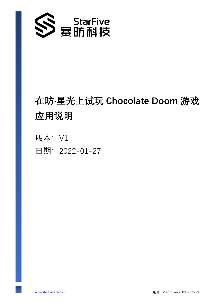

# **在昉·星光上试玩 Chocolate Doom 游戏 应用说明**

版本: V1 日期:2022-01-27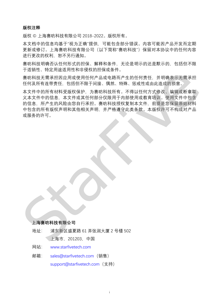#### **版权注释**

版权 © 上海赛昉科技有限公司 2018-2022。版权所有。

本文档中的信息均基于"视为正确"提供,可能包含部分错误。内容可能因产品开发而定期 更新或修订。上海赛昉科技有限公司(以下简称"赛昉科技")保留对本协议中的任何内容 进行更改的权利,恕不另行通知。

赛昉科技明确否认任何形式的担保、解释和条件,无论是明示的还是默示的,包括但不限 于适销性、特定用途适用性和非侵权的担保或条件。

赛昉科技无需承担因应用或使用任何产品或电路而产生的任何责任,并明确表示无需承担 任何及所有连带责任,包括但不限于间接、偶然、特殊、惩戒性或由此造成的损害。

本文件中的所有材料受版权保护,为赛昉科技所有。不得以任何方式修改、编辑或断章取 义本文件中的信息,本文件或其任何部分仅限用于内部使用或教育培训。使用文件中包含 的信息,所产生的风险由您自行承担。赛昉科技授权复制本文件,前提是您保留原始材料 中包含的所有版权声明和其他相关声明,并严格遵守此类条款。本版权许可不构成对产品 或服务的许可。 任何及所有连带责任,包括他不限于间接、调然、标准或性或由此造成的调告。<br>本文件中的所有材料受版权保护,为赛时科技所有、不得以任何方式修改、编辑或事实中中的有材料受版权保护,为赛时科技所有、不得以任何方式修改、编辑或事实中中的有材料受版权保护,为赛时科技所有、不得以任何方式修改、编辑或所有等。<br>本文件中的所有材料受版权保护,为赛时科技授权复制本文件、前提是资保留原始材料,<br>的信息,所产生的风险由原因是,并严格遵守此类条款。本版权许可不构成对

#### **上海赛昉科技有限公司**

地址: 浦东新区盛夏路 61 弄张润大厦 2 号楼 502 上海市,201203,中国

网站: [www.starfivetech.com](http://www.starfivetech.com/)

邮箱: [sales@starfivetech.com](mailto:sales@starfivetech.com)(销售) [support@starfivetech.com](mailto:support@starfivetech.com)(支持)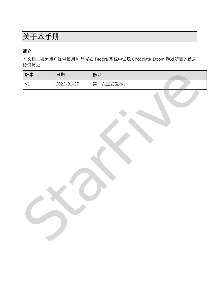# <span id="page-2-0"></span>**关于本手册**

**简介**

本文档主要为用户提供使用昉·星光在 Fedora 系统中试玩 Chocolate Doom 游戏所需的信息。 修订历史

| 版本 | 日期         | 修订       |
|----|------------|----------|
| V1 | 2022-01-27 | 第一次正式发布。 |
|    |            |          |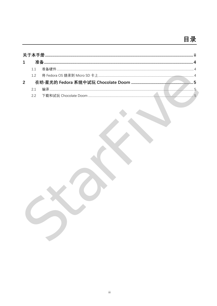## 目录

| 1 |    |  |
|---|----|--|
|   |    |  |
|   |    |  |
| 2 |    |  |
|   | 21 |  |
|   | 22 |  |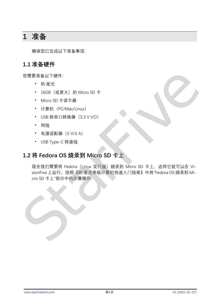### <span id="page-4-0"></span>**1 准备**

确保您已完成以下准备事项:

#### <span id="page-4-1"></span>**1.1 准备硬件**

您需要准备以下硬件:

- 昉·星光
- 16GB (或更大) 的 Micro SD 卡
- Micro SD 卡读卡器
- 计算机(PC/Mac/Linux)
- USB 转串口转换器 (3.3 V I/O)
- 网线
- 电源适配器(5 V/3 A)
- USB Type-C 转接线

### <span id="page-4-2"></span>**1.2 将 Fedora OS 烧录到 Micro SD 卡上**

现在我们需要将 Fedora (Linux 发行版) 烧录到 Micro SD 卡上, 这样它就可以在 VisionFive 上运行。按照《昉·星光单板计算机快速入门指南》中将"Fedora OS 烧录到 Micro SD 卡上"部分中的步骤操作 ・ 防圧 6GB(或更大)的 Micro SD 卡<br>- Micro SD 卡法卡器<br>- 计算机 (PC/Mac/Linux)<br>- USB 特串日转換器 (3.3 V/O)<br>- 网络 製造配器 (5 V/3 A)<br>- USB Type-C 转接线<br>- USB Type-C 转接线<br>- Micro SD 卡上<br>- Micro SD 卡上 Mac All Substant (航空大学版计算机供述入门指南) 中将 Fedora OS 烧录到 M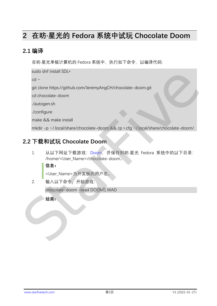### <span id="page-5-3"></span><span id="page-5-0"></span>**2 在昉·星光的 Fedora 系统中试玩 Chocolate Doom**

#### <span id="page-5-1"></span>**2.1 编译**

在昉·星光单板计算机的 Fedora 系统中, 执行如下命令, 以编译代码:

sudo dnf install SDL\*

 $cd$  ~

git clone https://github.com/JeremyAngCH/chocolate-doom.git

cd chocolate-doom

./autogen.sh

./configure

make && make install

mkdir -p ~/.local/share/chocolate-doom && cp \*.cfg ~/.local/share/chocolate-doom/.

### <span id="page-5-2"></span>**2.2 下载和试玩 Chocolate Doom**

1. 从以下网址下载游戏:Doom,并保存到昉·星光 Fedora 系统中的以下目录: /home/<User\_Name>/chocolate-doom。 ori<br>
git clone https://github.com/JeremyAngCH/chocolate-doom.git<br>
cd chocolate -doom<br>
/autogen.sh<br>
/configure<br>
make && make install<br>
mkdir -p ~/.local/share/chocolate-doom && cp - cfg ~/.local/share/chocolate -doom<br>
2.2

**信息:**

<User\_Name>为开发板的用户名。

2. 输入以下命令,开始游戏:

chocolate-doom -iwad DOOM1.WAD

**结果:**